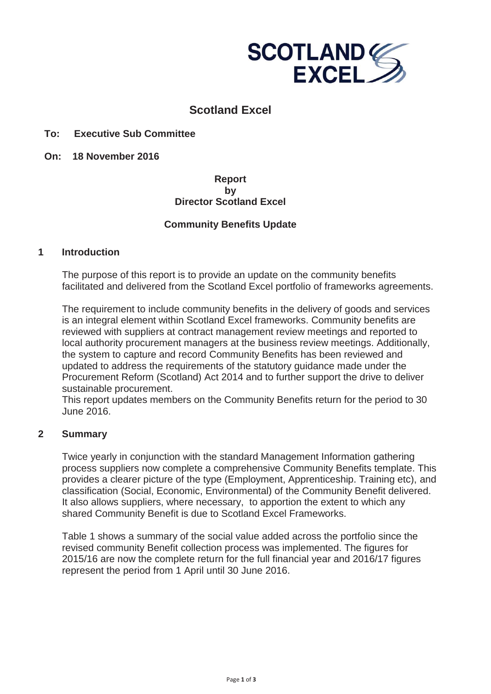

# **Scotland Excel**

## **To: Executive Sub Committee**

**On: 18 November 2016**

## **Report by Director Scotland Excel**

## **Community Benefits Update**

#### **1 Introduction**

The purpose of this report is to provide an update on the community benefits facilitated and delivered from the Scotland Excel portfolio of frameworks agreements.

The requirement to include community benefits in the delivery of goods and services is an integral element within Scotland Excel frameworks. Community benefits are reviewed with suppliers at contract management review meetings and reported to local authority procurement managers at the business review meetings. Additionally, the system to capture and record Community Benefits has been reviewed and updated to address the requirements of the statutory guidance made under the Procurement Reform (Scotland) Act 2014 and to further support the drive to deliver sustainable procurement.

This report updates members on the Community Benefits return for the period to 30 June 2016.

#### **2 Summary**

Twice yearly in conjunction with the standard Management Information gathering process suppliers now complete a comprehensive Community Benefits template. This provides a clearer picture of the type (Employment, Apprenticeship. Training etc), and classification (Social, Economic, Environmental) of the Community Benefit delivered. It also allows suppliers, where necessary, to apportion the extent to which any shared Community Benefit is due to Scotland Excel Frameworks.

Table 1 shows a summary of the social value added across the portfolio since the revised community Benefit collection process was implemented. The figures for 2015/16 are now the complete return for the full financial year and 2016/17 figures represent the period from 1 April until 30 June 2016.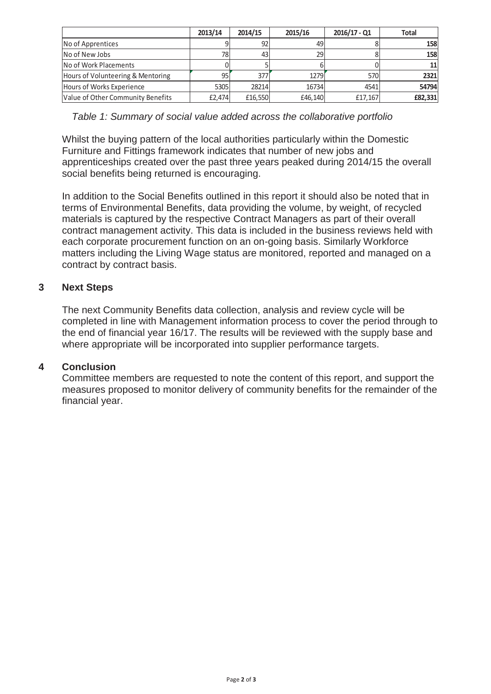|                                   | 2013/14 | 2014/15 | 2015/16 | $2016/17 - Q1$ | <b>Total</b> |
|-----------------------------------|---------|---------|---------|----------------|--------------|
| No of Apprentices                 |         | 92      | 49      |                | <b>158</b>   |
| No of New Jobs                    |         | 43      | 29      |                | <b>158</b>   |
| No of Work Placements             |         |         |         |                | 11 I         |
| Hours of Volunteering & Mentoring | 95      | 377l    | 1279    | 570            | 2321         |
| Hours of Works Experience         | 5305    | 28214   | 16734   | 4541           | 54794        |
| Value of Other Community Benefits | £2.474  | £16.550 | £46.140 | £17.167        | £82,331      |

*Table 1: Summary of social value added across the collaborative portfolio* 

Whilst the buying pattern of the local authorities particularly within the Domestic Furniture and Fittings framework indicates that number of new jobs and apprenticeships created over the past three years peaked during 2014/15 the overall social benefits being returned is encouraging.

In addition to the Social Benefits outlined in this report it should also be noted that in terms of Environmental Benefits, data providing the volume, by weight, of recycled materials is captured by the respective Contract Managers as part of their overall contract management activity. This data is included in the business reviews held with each corporate procurement function on an on-going basis. Similarly Workforce matters including the Living Wage status are monitored, reported and managed on a contract by contract basis.

## **3 Next Steps**

The next Community Benefits data collection, analysis and review cycle will be completed in line with Management information process to cover the period through to the end of financial year 16/17. The results will be reviewed with the supply base and where appropriate will be incorporated into supplier performance targets.

## **4 Conclusion**

Committee members are requested to note the content of this report, and support the measures proposed to monitor delivery of community benefits for the remainder of the financial year.